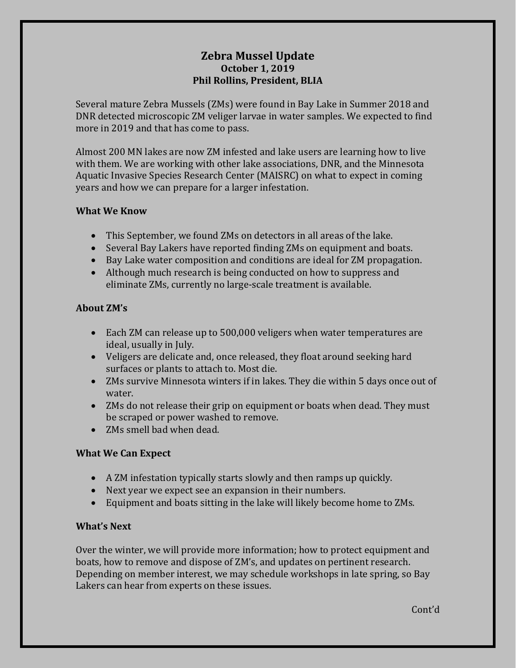# **Zebra Mussel Update October 1, 2019 Phil Rollins, President, BLIA**

Several mature Zebra Mussels (ZMs) were found in Bay Lake in Summer 2018 and DNR detected microscopic ZM veliger larvae in water samples. We expected to find more in 2019 and that has come to pass.

Almost 200 MN lakes are now ZM infested and lake users are learning how to live with them. We are working with other lake associations, DNR, and the Minnesota Aquatic Invasive Species Research Center (MAISRC) on what to expect in coming years and how we can prepare for a larger infestation.

#### **What We Know**

- This September, we found ZMs on detectors in all areas of the lake.
- Several Bay Lakers have reported finding ZMs on equipment and boats.
- Bay Lake water composition and conditions are ideal for ZM propagation.
- Although much research is being conducted on how to suppress and eliminate ZMs, currently no large-scale treatment is available.

### **About ZM's**

- Each ZM can release up to 500,000 veligers when water temperatures are ideal, usually in July.
- Veligers are delicate and, once released, they float around seeking hard surfaces or plants to attach to. Most die.
- ZMs survive Minnesota winters if in lakes. They die within 5 days once out of water.
- ZMs do not release their grip on equipment or boats when dead. They must be scraped or power washed to remove.
- ZMs smell bad when dead.

## **What We Can Expect**

- A ZM infestation typically starts slowly and then ramps up quickly.
- Next year we expect see an expansion in their numbers.
- Equipment and boats sitting in the lake will likely become home to ZMs.

## **What's Next**

Over the winter, we will provide more information; how to protect equipment and boats, how to remove and dispose of ZM's, and updates on pertinent research. Depending on member interest, we may schedule workshops in late spring, so Bay Lakers can hear from experts on these issues.